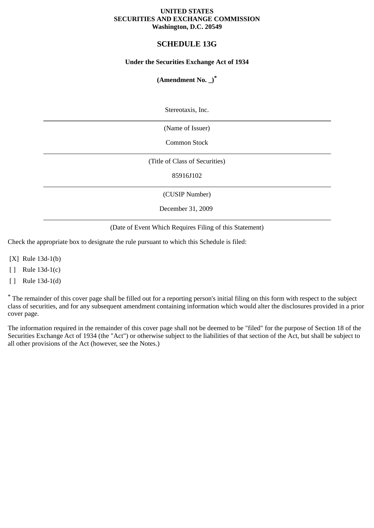#### **UNITED STATES SECURITIES AND EXCHANGE COMMISSION Washington, D.C. 20549**

# **SCHEDULE 13G**

### **Under the Securities Exchange Act of 1934**

## **(Amendment No. \_)\***

Stereotaxis, Inc.

(Name of Issuer)

Common Stock

(Title of Class of Securities)

85916J102

(CUSIP Number)

December 31, 2009

(Date of Event Which Requires Filing of this Statement)

Check the appropriate box to designate the rule pursuant to which this Schedule is filed:

[X] Rule 13d-1(b)

[ ] Rule 13d-1(c)

[ ] Rule 13d-1(d)

\* The remainder of this cover page shall be filled out for a reporting person's initial filing on this form with respect to the subject class of securities, and for any subsequent amendment containing information which would alter the disclosures provided in a prior cover page.

The information required in the remainder of this cover page shall not be deemed to be "filed" for the purpose of Section 18 of the Securities Exchange Act of 1934 (the "Act") or otherwise subject to the liabilities of that section of the Act, but shall be subject to all other provisions of the Act (however, see the Notes.)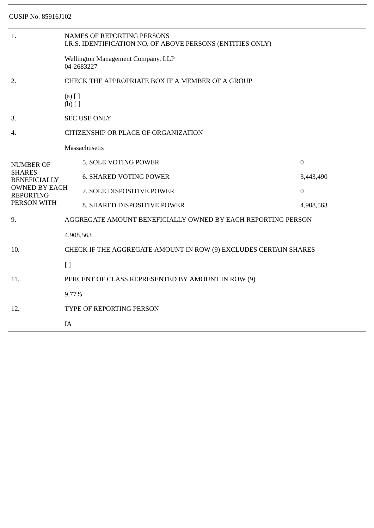| 1.                                                                                                                  | <b>NAMES OF REPORTING PERSONS</b><br>I.R.S. IDENTIFICATION NO. OF ABOVE PERSONS (ENTITIES ONLY) |                               |              |  |  |
|---------------------------------------------------------------------------------------------------------------------|-------------------------------------------------------------------------------------------------|-------------------------------|--------------|--|--|
|                                                                                                                     | Wellington Management Company, LLP<br>04-2683227                                                |                               |              |  |  |
| 2.                                                                                                                  | CHECK THE APPROPRIATE BOX IF A MEMBER OF A GROUP                                                |                               |              |  |  |
|                                                                                                                     | $(a)$ [ ]<br>$(b)$ []                                                                           |                               |              |  |  |
| 3.                                                                                                                  |                                                                                                 | <b>SEC USE ONLY</b>           |              |  |  |
| 4.                                                                                                                  | CITIZENSHIP OR PLACE OF ORGANIZATION                                                            |                               |              |  |  |
|                                                                                                                     |                                                                                                 | <b>Massachusetts</b>          |              |  |  |
| <b>NUMBER OF</b><br><b>SHARES</b><br><b>BENEFICIALLY</b><br><b>OWNED BY EACH</b><br><b>REPORTING</b><br>PERSON WITH |                                                                                                 | 5. SOLE VOTING POWER          | $\mathbf{0}$ |  |  |
|                                                                                                                     |                                                                                                 | <b>6. SHARED VOTING POWER</b> | 3,443,490    |  |  |
|                                                                                                                     |                                                                                                 | 7. SOLE DISPOSITIVE POWER     | $\mathbf{0}$ |  |  |
|                                                                                                                     |                                                                                                 | 8. SHARED DISPOSITIVE POWER   | 4,908,563    |  |  |
| 9.                                                                                                                  | AGGREGATE AMOUNT BENEFICIALLY OWNED BY EACH REPORTING PERSON                                    |                               |              |  |  |
|                                                                                                                     | 4,908,563                                                                                       |                               |              |  |  |
| 10.                                                                                                                 | CHECK IF THE AGGREGATE AMOUNT IN ROW (9) EXCLUDES CERTAIN SHARES                                |                               |              |  |  |
|                                                                                                                     | $\lceil$                                                                                        |                               |              |  |  |
| 11.                                                                                                                 | PERCENT OF CLASS REPRESENTED BY AMOUNT IN ROW (9)                                               |                               |              |  |  |
| 12.                                                                                                                 | 9.77%                                                                                           |                               |              |  |  |
|                                                                                                                     | TYPE OF REPORTING PERSON                                                                        |                               |              |  |  |
|                                                                                                                     | IA                                                                                              |                               |              |  |  |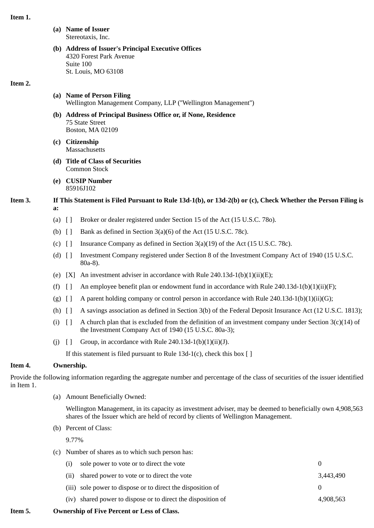#### **Item 1.**

- **(a) Name of Issuer** Stereotaxis, Inc.
- **(b) Address of Issuer's Principal Executive Offices** 4320 Forest Park Avenue Suite 100 St. Louis, MO 63108

#### **Item 2.**

### **(a) Name of Person Filing** Wellington Management Company, LLP (''Wellington Management'')

- **(b) Address of Principal Business Office or, if None, Residence** 75 State Street Boston, MA 02109
- **(c) Citizenship Massachusetts**
- **(d) Title of Class of Securities** Common Stock
- **(e) CUSIP Number** 85916J102
- **Item 3. If This Statement is Filed Pursuant to Rule 13d-1(b), or 13d-2(b) or (c), Check Whether the Person Filing is a:**
	- (a) [ ] Broker or dealer registered under Section 15 of the Act (15 U.S.C. 78o).
	- (b)  $\left[ \ \right]$  Bank as defined in Section 3(a)(6) of the Act (15 U.S.C. 78c).
	- (c)  $\left[ \ \right]$  Insurance Company as defined in Section 3(a)(19) of the Act (15 U.S.C. 78c).
	- (d) [ ] Investment Company registered under Section 8 of the Investment Company Act of 1940 (15 U.S.C. 80a-8).
	- (e)  $[X]$  An investment adviser in accordance with Rule 240.13d-1(b)(1)(ii)(E);
	- (f)  $\left[ \ \right]$  An employee benefit plan or endowment fund in accordance with Rule 240.13d-1(b)(1)(ii)(F);
	- (g)  $\lceil \cdot \rceil$  A parent holding company or control person in accordance with Rule 240.13d-1(b)(1)(ii)(G);
	- (h) [ ] A savings association as defined in Section 3(b) of the Federal Deposit Insurance Act (12 U.S.C. 1813);
	- (i)  $\lceil \rceil$  A church plan that is excluded from the definition of an investment company under Section 3(c)(14) of the Investment Company Act of 1940 (15 U.S.C. 80a-3);
	- (j)  $[]$  Group, in accordance with Rule 240.13d-1(b)(1)(ii)(J).

If this statement is filed pursuant to Rule 13d-1(c), check this box [ ]

# **Item 4. Ownership.**

Provide the following information regarding the aggregate number and percentage of the class of securities of the issuer identified in Item 1.

(a) Amount Beneficially Owned:

Wellington Management, in its capacity as investment adviser, may be deemed to beneficially own 4,908,563 shares of the Issuer which are held of record by clients of Wellington Management.

(b) Percent of Class:

9.77%

(c) Number of shares as to which such person has:

| (i) | sole power to vote or to direct the vote                     |           |
|-----|--------------------------------------------------------------|-----------|
|     | (ii) shared power to vote or to direct the vote              | 3.443.490 |
|     | (iii) sole power to dispose or to direct the disposition of  |           |
|     | (iv) shared power to dispose or to direct the disposition of | 4.908.563 |

# **Item 5. Ownership of Five Percent or Less of Class.**